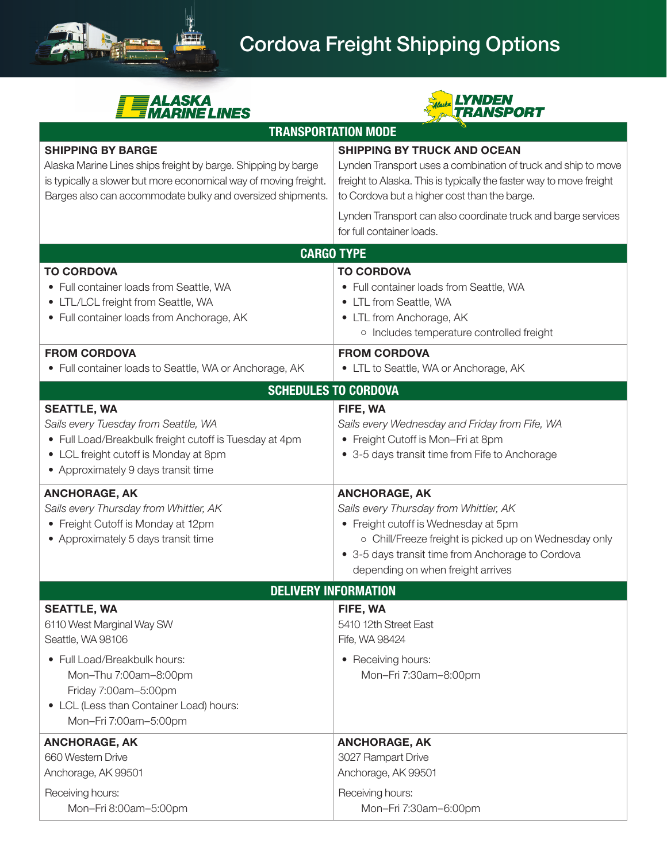





| <b>TRANSPORTATION MODE</b>                                                                                                                                                                                                  |                                                                                                                                                                                                                                                                                                                          |
|-----------------------------------------------------------------------------------------------------------------------------------------------------------------------------------------------------------------------------|--------------------------------------------------------------------------------------------------------------------------------------------------------------------------------------------------------------------------------------------------------------------------------------------------------------------------|
| <b>SHIPPING BY BARGE</b><br>Alaska Marine Lines ships freight by barge. Shipping by barge<br>is typically a slower but more economical way of moving freight.<br>Barges also can accommodate bulky and oversized shipments. | <b>SHIPPING BY TRUCK AND OCEAN</b><br>Lynden Transport uses a combination of truck and ship to move<br>freight to Alaska. This is typically the faster way to move freight<br>to Cordova but a higher cost than the barge.<br>Lynden Transport can also coordinate truck and barge services<br>for full container loads. |
| <b>CARGO TYPE</b>                                                                                                                                                                                                           |                                                                                                                                                                                                                                                                                                                          |
| <b>TO CORDOVA</b><br>• Full container loads from Seattle, WA<br>LTL/LCL freight from Seattle, WA<br>$\bullet$<br>• Full container loads from Anchorage, AK                                                                  | <b>TO CORDOVA</b><br>• Full container loads from Seattle, WA<br>• LTL from Seattle, WA<br>• LTL from Anchorage, AK<br>o Includes temperature controlled freight                                                                                                                                                          |
| <b>FROM CORDOVA</b><br>• Full container loads to Seattle, WA or Anchorage, AK                                                                                                                                               | <b>FROM CORDOVA</b><br>• LTL to Seattle, WA or Anchorage, AK                                                                                                                                                                                                                                                             |
| <b>SCHEDULES TO CORDOVA</b>                                                                                                                                                                                                 |                                                                                                                                                                                                                                                                                                                          |
| <b>SEATTLE, WA</b><br>Sails every Tuesday from Seattle, WA<br>• Full Load/Breakbulk freight cutoff is Tuesday at 4pm<br>• LCL freight cutoff is Monday at 8pm<br>• Approximately 9 days transit time                        | FIFE, WA<br>Sails every Wednesday and Friday from Fife, WA<br>• Freight Cutoff is Mon-Fri at 8pm<br>• 3-5 days transit time from Fife to Anchorage                                                                                                                                                                       |
| <b>ANCHORAGE, AK</b><br>Sails every Thursday from Whittier, AK<br>• Freight Cutoff is Monday at 12pm<br>• Approximately 5 days transit time                                                                                 | <b>ANCHORAGE, AK</b><br>Sails every Thursday from Whittier, AK<br>• Freight cutoff is Wednesday at 5pm<br>o Chill/Freeze freight is picked up on Wednesday only<br>• 3-5 days transit time from Anchorage to Cordova<br>depending on when freight arrives                                                                |
| <b>DELIVERY INFORMATION</b>                                                                                                                                                                                                 |                                                                                                                                                                                                                                                                                                                          |
| <b>SEATTLE, WA</b><br>6110 West Marginal Way SW<br>Seattle, WA 98106<br>• Full Load/Breakbulk hours:<br>Mon-Thu 7:00am-8:00pm<br>Friday 7:00am-5:00pm<br>• LCL (Less than Container Load) hours:<br>Mon-Fri 7:00am-5:00pm   | FIFE, WA<br>5410 12th Street East<br>Fife, WA 98424<br>• Receiving hours:<br>Mon-Fri 7:30am-8:00pm                                                                                                                                                                                                                       |
| <b>ANCHORAGE, AK</b><br>660 Western Drive<br>Anchorage, AK 99501<br>Receiving hours:<br>Mon-Fri 8:00am-5:00pm                                                                                                               | <b>ANCHORAGE, AK</b><br>3027 Rampart Drive<br>Anchorage, AK 99501<br>Receiving hours:<br>Mon-Fri 7:30am-6:00pm                                                                                                                                                                                                           |